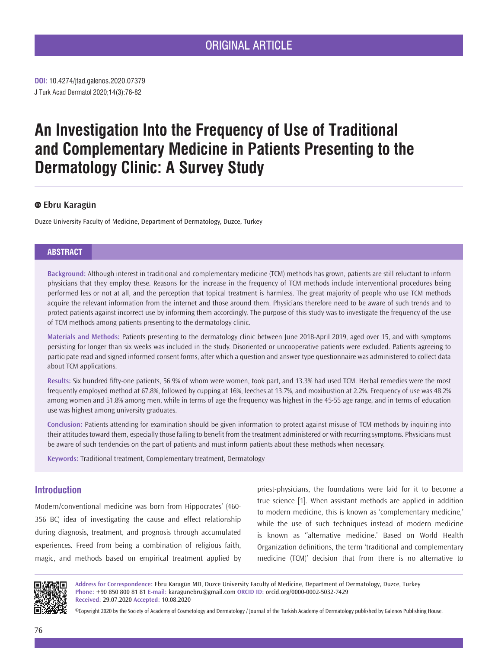# ORIGINAL ARTICLE

J Turk Acad Dermatol 2020;14(3):76-82 **DOI:** 10.4274/jtad.galenos.2020.07379

# **An Investigation Into the Frequency of Use of Traditional and Complementary Medicine in Patients Presenting to the Dermatology Clinic: A Survey Study**

# **Ebru Karagün**

Duzce University Faculty of Medicine, Department of Dermatology, Duzce, Turkey

## **ABSTRACT**

**Background:** Although interest in traditional and complementary medicine (TCM) methods has grown, patients are still reluctant to inform physicians that they employ these. Reasons for the increase in the frequency of TCM methods include interventional procedures being performed less or not at all, and the perception that topical treatment is harmless. The great majority of people who use TCM methods acquire the relevant information from the internet and those around them. Physicians therefore need to be aware of such trends and to protect patients against incorrect use by informing them accordingly. The purpose of this study was to investigate the frequency of the use of TCM methods among patients presenting to the dermatology clinic.

**Materials and Methods:** Patients presenting to the dermatology clinic between June 2018-April 2019, aged over 15, and with symptoms persisting for longer than six weeks was included in the study. Disoriented or uncooperative patients were excluded. Patients agreeing to participate read and signed informed consent forms, after which a question and answer type questionnaire was administered to collect data about TCM applications.

**Results:** Six hundred fifty-one patients, 56.9% of whom were women, took part, and 13.3% had used TCM. Herbal remedies were the most frequently employed method at 67.8%, followed by cupping at 16%, leeches at 13.7%, and moxibustion at 2.2%. Frequency of use was 48.2% among women and 51.8% among men, while in terms of age the frequency was highest in the 45-55 age range, and in terms of education use was highest among university graduates.

**Conclusion:** Patients attending for examination should be given information to protect against misuse of TCM methods by inquiring into their attitudes toward them, especially those failing to benefit from the treatment administered or with recurring symptoms. Physicians must be aware of such tendencies on the part of patients and must inform patients about these methods when necessary.

**Keywords:** Traditional treatment, Complementary treatment, Dermatology

# **Introduction**

Modern/conventional medicine was born from Hippocrates' (460- 356 BC) idea of investigating the cause and effect relationship during diagnosis, treatment, and prognosis through accumulated experiences. Freed from being a combination of religious faith, magic, and methods based on empirical treatment applied by priest-physicians, the foundations were laid for it to become a true science [1]. When assistant methods are applied in addition to modern medicine, this is known as 'complementary medicine,' while the use of such techniques instead of modern medicine is known as ''alternative medicine.' Based on World Health Organization definitions, the term 'traditional and complementary medicine (TCM)' decision that from there is no alternative to



**Address for Correspondence:** Ebru Karagün MD, Duzce University Faculty of Medicine, Department of Dermatology, Duzce, Turkey **Phone:** +90 850 800 81 81 **E-mail:** karagunebru@gmail.com **ORCID ID:** orcid.org/0000-0002-5032-7429 **Received:** 29.07.2020 **Accepted:** 10.08.2020

©Copyright 2020 by the Society of Academy of Cosmetology and Dermatology / Journal of the Turkish Academy of Dermatology published by Galenos Publishing House.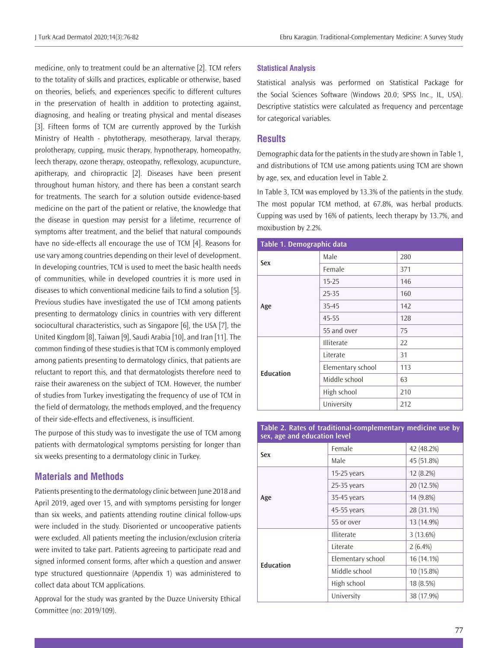medicine, only to treatment could be an alternative [2]. TCM refers to the totality of skills and practices, explicable or otherwise, based on theories, beliefs, and experiences specific to different cultures in the preservation of health in addition to protecting against, diagnosing, and healing or treating physical and mental diseases [3]. Fifteen forms of TCM are currently approved by the Turkish Ministry of Health - phytotherapy, mesotherapy, larval therapy, prolotherapy, cupping, music therapy, hypnotherapy, homeopathy, leech therapy, ozone therapy, osteopathy, reflexology, acupuncture, apitherapy, and chiropractic [2]. Diseases have been present throughout human history, and there has been a constant search for treatments. The search for a solution outside evidence-based medicine on the part of the patient or relative, the knowledge that the disease in question may persist for a lifetime, recurrence of symptoms after treatment, and the belief that natural compounds have no side-effects all encourage the use of TCM [4]. Reasons for use vary among countries depending on their level of development. In developing countries, TCM is used to meet the basic health needs of communities, while in developed countries it is more used in diseases to which conventional medicine fails to find a solution [5]. Previous studies have investigated the use of TCM among patients presenting to dermatology clinics in countries with very different sociocultural characteristics, such as Singapore [6], the USA [7], the United Kingdom [8], Taiwan [9], Saudi Arabia [10], and Iran [11]. The common finding of these studies is that TCM is commonly employed among patients presenting to dermatology clinics, that patients are reluctant to report this, and that dermatologists therefore need to raise their awareness on the subject of TCM. However, the number of studies from Turkey investigating the frequency of use of TCM in the field of dermatology, the methods employed, and the frequency of their side-effects and effectiveness, is insufficient.

The purpose of this study was to investigate the use of TCM among patients with dermatological symptoms persisting for longer than six weeks presenting to a dermatology clinic in Turkey.

# **Materials and Methods**

Patients presenting to the dermatology clinic between June 2018 and April 2019, aged over 15, and with symptoms persisting for longer than six weeks, and patients attending routine clinical follow-ups were included in the study. Disoriented or uncooperative patients were excluded. All patients meeting the inclusion/exclusion criteria were invited to take part. Patients agreeing to participate read and signed informed consent forms, after which a question and answer type structured questionnaire (Appendix 1) was administered to collect data about TCM applications.

Approval for the study was granted by the Duzce University Ethical Committee (no: 2019/109).

#### **Statistical Analysis**

Statistical analysis was performed on Statistical Package for the Social Sciences Software (Windows 20.0; SPSS Inc., IL, USA). Descriptive statistics were calculated as frequency and percentage for categorical variables.

## **Results**

Demographic data for the patients in the study are shown in Table 1, and distributions of TCM use among patients using TCM are shown by age, sex, and education level in Table 2.

In Table 3, TCM was employed by 13.3% of the patients in the study. The most popular TCM method, at 67.8%, was herbal products. Cupping was used by 16% of patients, leech therapy by 13.7%, and moxibustion by 2.2%.

| Table 1. Demographic data |                   |     |  |  |
|---------------------------|-------------------|-----|--|--|
| Sex                       | Male              | 280 |  |  |
|                           | Female            | 371 |  |  |
| Age                       | $15 - 25$         | 146 |  |  |
|                           | 25-35             | 160 |  |  |
|                           | 35-45             | 142 |  |  |
|                           | 45-55             | 128 |  |  |
|                           | 55 and over       | 75  |  |  |
| <b>Education</b>          | <b>Illiterate</b> | 22  |  |  |
|                           | Literate          | 31  |  |  |
|                           | Elementary school | 113 |  |  |
|                           | Middle school     | 63  |  |  |
|                           | High school       | 210 |  |  |
|                           | University        | 212 |  |  |

**Table 2. Rates of traditional-complementary medicine use by sex, age and education level**

| Sex              | Female            | 42 (48.2%) |
|------------------|-------------------|------------|
|                  | Male              | 45 (51.8%) |
| Age              | $15-25$ years     | 12 (8.2%)  |
|                  | $25-35$ years     | 20 (12.5%) |
|                  | 35-45 years       | 14 (9.8%)  |
|                  | 45-55 years       | 28 (31.1%) |
|                  | 55 or over        | 13 (14.9%) |
| <b>Education</b> | <b>Illiterate</b> | 3(13.6%)   |
|                  | Literate          | $2(6.4\%)$ |
|                  | Elementary school | 16 (14.1%) |
|                  | Middle school     | 10 (15.8%) |
|                  | High school       | 18 (8.5%)  |
|                  | University        | 38 (17.9%) |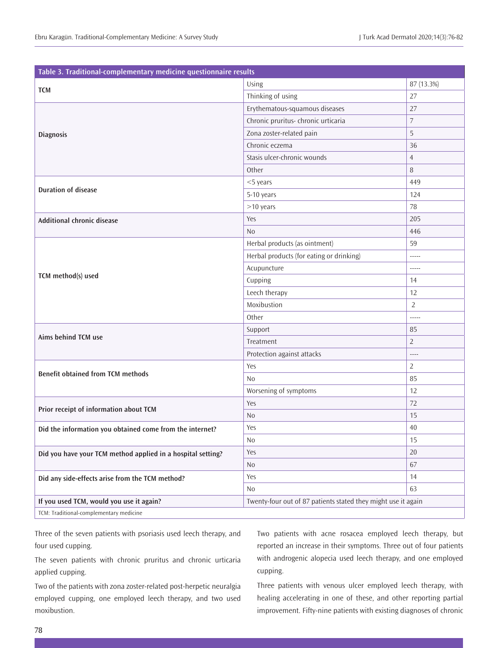| Table 3. Traditional-complementary medicine questionnaire results |                                                               |                |  |  |
|-------------------------------------------------------------------|---------------------------------------------------------------|----------------|--|--|
|                                                                   | Using                                                         | 87 (13.3%)     |  |  |
| <b>TCM</b>                                                        | Thinking of using                                             | 27             |  |  |
|                                                                   | Erythematous-squamous diseases                                | 27             |  |  |
|                                                                   | Chronic pruritus- chronic urticaria                           | $\overline{7}$ |  |  |
| <b>Diagnosis</b>                                                  | Zona zoster-related pain                                      | 5              |  |  |
|                                                                   | Chronic eczema                                                | 36             |  |  |
|                                                                   | Stasis ulcer-chronic wounds                                   | $\overline{4}$ |  |  |
|                                                                   | Other                                                         | 8              |  |  |
|                                                                   | $<$ 5 years                                                   | 449            |  |  |
| <b>Duration of disease</b>                                        | 5-10 years                                                    | 124            |  |  |
|                                                                   | >10 years                                                     | 78             |  |  |
| <b>Additional chronic disease</b>                                 | Yes                                                           | 205            |  |  |
|                                                                   | N <sub>o</sub>                                                | 446            |  |  |
|                                                                   | Herbal products (as ointment)                                 | 59             |  |  |
|                                                                   | Herbal products (for eating or drinking)                      | -----          |  |  |
|                                                                   | Acupuncture                                                   | -----          |  |  |
| TCM method(s) used                                                | Cupping                                                       | 14             |  |  |
|                                                                   | Leech therapy                                                 | 12             |  |  |
|                                                                   | Moxibustion                                                   | $\overline{2}$ |  |  |
|                                                                   | Other                                                         | -----          |  |  |
|                                                                   | Support                                                       | 85             |  |  |
| Aims behind TCM use                                               | Treatment                                                     | $\overline{2}$ |  |  |
|                                                                   | Protection against attacks                                    | $\overline{a}$ |  |  |
|                                                                   | Yes                                                           | $\overline{2}$ |  |  |
| <b>Benefit obtained from TCM methods</b>                          | N <sub>0</sub>                                                | 85             |  |  |
|                                                                   | Worsening of symptoms                                         | 12             |  |  |
| Prior receipt of information about TCM                            | Yes                                                           | 72             |  |  |
|                                                                   | N <sub>0</sub>                                                | 15             |  |  |
| Did the information you obtained come from the internet?          | Yes                                                           | 40             |  |  |
|                                                                   | No                                                            | 15             |  |  |
| Did you have your TCM method applied in a hospital setting?       | Yes                                                           | 20             |  |  |
|                                                                   | No                                                            | 67             |  |  |
| Did any side-effects arise from the TCM method?                   | Yes                                                           | 14             |  |  |
|                                                                   | No                                                            | 63             |  |  |
| If you used TCM, would you use it again?                          | Twenty-four out of 87 patients stated they might use it again |                |  |  |
| TCM: Traditional-complementary medicine                           |                                                               |                |  |  |

Three of the seven patients with psoriasis used leech therapy, and four used cupping.

The seven patients with chronic pruritus and chronic urticaria applied cupping.

Two of the patients with zona zoster-related post-herpetic neuralgia employed cupping, one employed leech therapy, and two used moxibustion.

Two patients with acne rosacea employed leech therapy, but reported an increase in their symptoms. Three out of four patients with androgenic alopecia used leech therapy, and one employed cupping.

Three patients with venous ulcer employed leech therapy, with healing accelerating in one of these, and other reporting partial improvement. Fifty-nine patients with existing diagnoses of chronic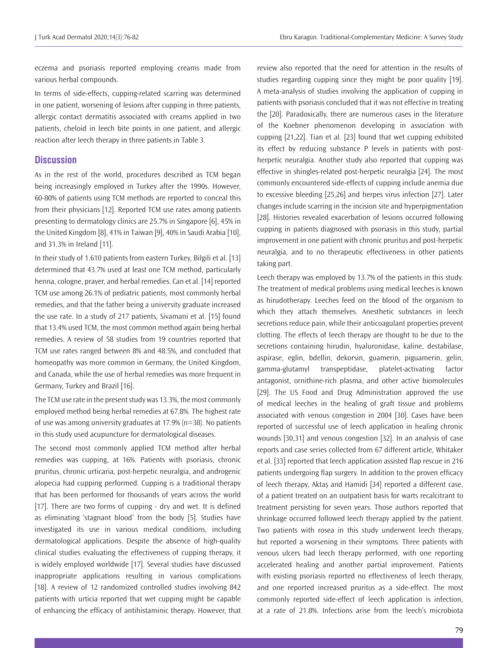eczema and psoriasis reported employing creams made from various herbal compounds.

In terms of side-effects, cupping-related scarring was determined in one patient, worsening of lesions after cupping in three patients, allergic contact dermatitis associated with creams applied in two patients, cheloid in leech bite points in one patient, and allergic reaction after leech therapy in three patients in Table 3.

#### **Discussion**

As in the rest of the world, procedures described as TCM began being increasingly employed in Turkey after the 1990s. However, 60-80% of patients using TCM methods are reported to conceal this from their physicians [12]. Reported TCM use rates among patients presenting to dermatology clinics are 25.7% in Singapore [6], 45% in the United Kingdom [8], 41% in Taiwan [9], 40% in Saudi Arabia [10], and 31.3% in Ireland [11].

In their study of 1.610 patients from eastern Turkey, Bilgili et al. [13] determined that 43.7% used at least one TCM method, particularly henna, cologne, prayer, and herbal remedies. Can et al. [14] reported TCM use among 26.1% of pediatric patients, most commonly herbal remedies, and that the father being a university graduate increased the use rate. In a study of 217 patients, Sivamani et al. [15] found that 13.4% used TCM, the most common method again being herbal remedies. A review of 58 studies from 19 countries reported that TCM use rates ranged between 8% and 48.5%, and concluded that homeopathy was more common in Germany, the United Kingdom, and Canada, while the use of herbal remedies was more frequent in Germany, Turkey and Brazil [16].

The TCM use rate in the present study was 13.3%, the most commonly employed method being herbal remedies at 67.8%. The highest rate of use was among university graduates at 17.9% (n=38). No patients in this study used acupuncture for dermatological diseases.

The second most commonly applied TCM method after herbal remedies was cupping, at 16%. Patients with psoriasis, chronic pruritus, chronic urticaria, post-herpetic neuralgia, and androgenic alopecia had cupping performed. Cupping is a traditional therapy that has been performed for thousands of years across the world [17]. There are two forms of cupping - dry and wet. It is defined as eliminating 'stagnant blood' from the body [5]. Studies have investigated its use in various medical conditions, including dermatological applications. Despite the absence of high-quality clinical studies evaluating the effectiveness of cupping therapy, it is widely employed worldwide [17]. Several studies have discussed inappropriate applications resulting in various complications [18]. A review of 12 randomized controlled studies involving 842 patients with urticia reported that wet cupping might be capable of enhancing the efficacy of antihistaminic therapy. However, that

review also reported that the need for attention in the results of studies regarding cupping since they might be poor quality [19]. A meta-analysis of studies involving the application of cupping in patients with psoriasis concluded that it was not effective in treating the [20]. Paradoxically, there are numerous cases in the literature of the Koebner phenomenon developing in association with cupping [21,22]. Tian et al. [23] found that wet cupping exhibited its effect by reducing substance P levels in patients with postherpetic neuralgia. Another study also reported that cupping was effective in shingles-related post-herpetic neuralgia [24]. The most commonly encountered side-effects of cupping include anemia due to excessive bleeding [25,26] and herpes virus infection [27]. Later changes include scarring in the incision site and hyperpigmentation [28]. Histories revealed exacerbation of lesions occurred following cupping in patients diagnosed with psoriasis in this study, partial improvement in one patient with chronic pruritus and post-herpetic neuralgia, and to no therapeutic effectiveness in other patients taking part.

Leech therapy was employed by 13.7% of the patients in this study. The treatment of medical problems using medical leeches is known as hirudotherapy. Leeches feed on the blood of the organism to which they attach themselves. Anesthetic substances in leech secretions reduce pain, while their anticoagulant properties prevent clotting. The effects of leech therapy are thought to be due to the secretions containing hirudin, hyaluronidase, kaline, destabilase, aspirase, eglin, bdellin, dekorsin, guamerin, piguamerin, gelin, gamma-glutamyl transpeptidase, platelet-activating factor antagonist, ornithine-rich plasma, and other active biomolecules [29]. The US Food and Drug Administration approved the use of medical leeches in the healing of graft tissue and problems associated with venous congestion in 2004 [30]. Cases have been reported of successful use of leech application in healing chronic wounds [30,31] and venous congestion [32]. In an analysis of case reports and case series collected from 67 different article, Whitaker et al. [33] reported that leech application assisted flap rescue in 216 patients undergoing flap surgery. In addition to the proven efficacy of leech therapy, Aktaş and Hamidi [34] reported a different case, of a patient treated on an outpatient basis for warts recalcitrant to treatment persisting for seven years. Those authors reported that shrinkage occurred followed leech therapy applied by the patient. Two patients with rosea in this study underwent leech therapy, but reported a worsening in their symptoms. Three patients with venous ulcers had leech therapy performed, with one reporting accelerated healing and another partial improvement. Patients with existing psoriasis reported no effectiveness of leech therapy, and one reported increased pruritus as a side-effect. The most commonly reported side-effect of leech application is infection, at a rate of 21.8%. Infections arise from the leech's microbiota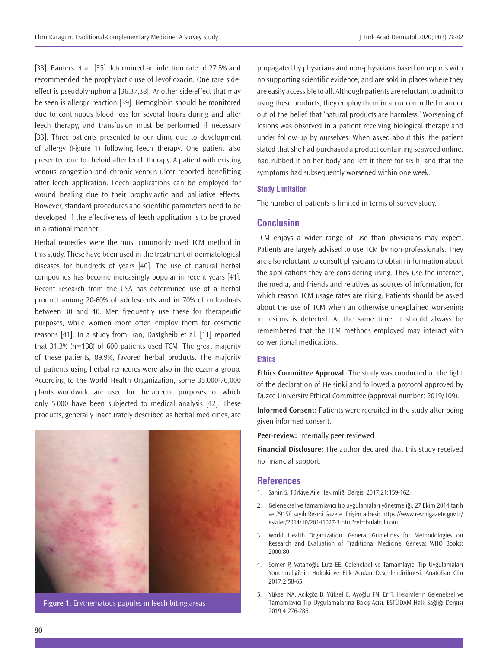[33]. Bauters et al. [35] determined an infection rate of 27.5% and recommended the prophylactic use of levofloxacin. One rare sideeffect is pseudolymphoma [36,37,38]. Another side-effect that may be seen is allergic reaction [39]. Hemoglobin should be monitored due to continuous blood loss for several hours during and after leech therapy, and transfusion must be performed if necessary [33]. Three patients presented to our clinic due to development of allergy (Figure 1) following leech therapy. One patient also presented due to cheloid after leech therapy. A patient with existing venous congestion and chronic venous ulcer reported benefitting after leech application. Leech applications can be employed for wound healing due to their prophylactic and palliative effects. However, standard procedures and scientific parameters need to be developed if the effectiveness of leech application is to be proved in a rational manner.

Herbal remedies were the most commonly used TCM method in this study. These have been used in the treatment of dermatological diseases for hundreds of years [40]. The use of natural herbal compounds has become increasingly popular in recent years [41]. Recent research from the USA has determined use of a herbal product among 20-60% of adolescents and in 70% of individuals between 30 and 40. Men frequently use these for therapeutic purposes, while women more often employ them for cosmetic reasons [41]. In a study from Iran, Dastgheib et al. [11] reported that 31.3% (n=188) of 600 patients used TCM. The great majority of these patients, 89.9%, favored herbal products. The majority of patients using herbal remedies were also in the eczema group. According to the World Health Organization, some 35,000-70,000 plants worldwide are used for therapeutic purposes, of which only 5.000 have been subjected to medical analysis [42]. These products, generally inaccurately described as herbal medicines, are



**Figure 1.** Erythematous papules in leech biting areas

propagated by physicians and non-physicians based on reports with no supporting scientific evidence, and are sold in places where they are easily accessible to all. Although patients are reluctant to admit to using these products, they employ them in an uncontrolled manner out of the belief that 'natural products are harmless.' Worsening of lesions was observed in a patient receiving biological therapy and under follow-up by ourselves. When asked about this, the patient stated that she had purchased a product containing seaweed online, had rubbed it on her body and left it there for six h, and that the symptoms had subsequently worsened within one week.

#### **Study Limitation**

The number of patients is limited in terms of survey study.

#### **Conclusion**

TCM enjoys a wider range of use than physicians may expect. Patients are largely advised to use TCM by non-professionals. They are also reluctant to consult physicians to obtain information about the applications they are considering using. They use the internet, the media, and friends and relatives as sources of information, for which reason TCM usage rates are rising. Patients should be asked about the use of TCM when an otherwise unexplained worsening in lesions is detected. At the same time, it should always be remembered that the TCM methods employed may interact with conventional medications.

#### **Ethics**

**Ethics Committee Approval:** The study was conducted in the light of the declaration of Helsinki and followed a protocol approved by Duzce University Ethical Committee (approval number: 2019/109).

**Informed Consent:** Patients were recruited in the study after being given informed consent.

**Peer-review:** Internally peer-reviewed.

**Financial Disclosure:** The author declared that this study received no financial support.

#### **References**

- 1. Şahin S. Türkiye Aile Hekimliği Dergisi 2017;21:159-162.
- 2. Geleneksel ve tamamlayıcı tıp uygulamaları yönetmeliği. 27 Ekim 2014 tarih ve 29158 sayılı Resmi Gazete. Erişim adresi: https://www.resmigazete.gov.tr/ eskiler/2014/10/20141027-3.htm?ref=bulabul.com
- 3. World Health Organization. General Guidelines for Methodologies on Research and Evaluation of Traditional Medicine. Geneva: WHO Books; 2000:80
- 4. Somer P, Vatanoğlu-Lutz EE. Geleneksel ve Tamamlayıcı Tıp Uygulamaları Yönetmeliği'nin Hukuki ve Etik Açıdan Değerlendirilmesi. Anatolian Clin 2017;2:58-65.
- 5. Yüksel NA, Açıkgöz B, Yüksel C, Ayoğlu FN, Er T. Hekimlerin Geleneksel ve Tamamlayıcı Tıp Uygulamalarına Bakış Açısı. ESTÜDAM Halk Sağlığı Dergisi 2019;4:276-286.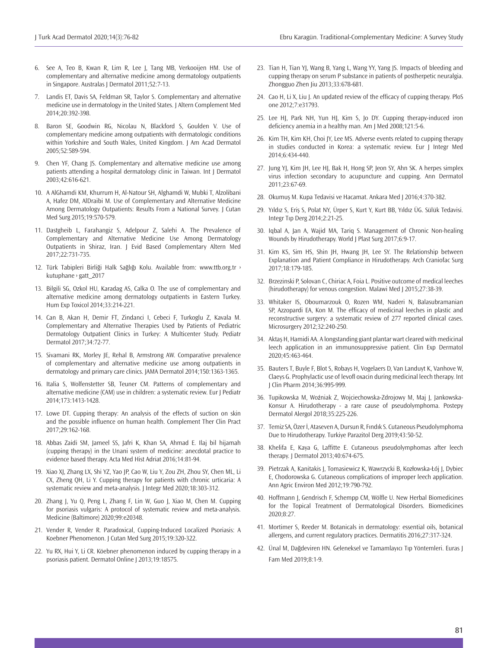- 6. See A, Teo B, Kwan R, Lim R, Lee J, Tang MB, Verkooijen HM. Use of complementary and alternative medicine among dermatology outpatients in Singapore. Australas I Dermatol 2011:52:7-13.
- 7. Landis ET, Davis SA, Feldman SR, Taylor S. Complementary and alternative medicine use in dermatology in the United States. J Altern Complement Med 2014;20:392-398.
- 8. Baron SE, Goodwin RG, Nicolau N, Blackford S, Goulden V. Use of complementary medicine among outpatients with dermatologic conditions within Yorkshire and South Wales, United Kingdom. J Am Acad Dermatol 2005;52:589-594.
- 9. Chen YF, Chang JS. Complementary and alternative medicine use among patients attending a hospital dermatology clinic in Taiwan. Int J Dermatol 2003;42:616-621.
- 10. A AlGhamdi KM, Khurrum H, Al-Natour SH, Alghamdi W, Mubki T, Alzolibani A, Hafez DM, AlDraibi M. Use of Complementary and Alternative Medicine Among Dermatology Outpatients: Results From a National Survey. J Cutan Med Surg 2015;19:570-579.
- 11. Dastgheib L, Farahangiz S, Adelpour Z, Salehi A. The Prevalence of Complementary and Alternative Medicine Use Among Dermatology Outpatients in Shiraz, Iran. J Evid Based Complementary Altern Med 2017;22:731-735.
- 12. Türk Tabipleri Birliği Halk Sağlığı Kolu. Available from: www.ttb.org.tr > kutuphane › gatt\_2017
- 13. Bilgili SG, Ozkol HU, Karadag AS, Calka O. The use of complementary and alternative medicine among dermatology outpatients in Eastern Turkey. Hum Exp Toxicol 2014;33:214-221.
- 14. Can B, Akan H, Demir FT, Zindanci I, Cebeci F, Turkoglu Z, Kavala M. Complementary and Alternative Therapies Used by Patients of Pediatric Dermatology Outpatient Clinics in Turkey: A Multicenter Study. Pediatr Dermatol 2017;34:72-77.
- 15. Sivamani RK, Morley JE, Rehal B, Armstrong AW. Comparative prevalence of complementary and alternative medicine use among outpatients in dermatology and primary care clinics. JAMA Dermatol 2014;150:1363-1365.
- 16. Italia S, Wolfenstetter SB, Teuner CM. Patterns of complementary and alternative medicine (CAM) use in children: a systematic review. Eur J Pediatr 2014;173:1413-1428.
- 17. Lowe DT. Cupping therapy: An analysis of the effects of suction on skin and the possible influence on human health. Complement Ther Clin Pract 2017;29:162-168.
- 18. Abbas Zaidi SM, Jameel SS, Jafri K, Khan SA, Ahmad E. Ilaj bil hijamah (cupping therapy) in the Unani system of medicine: anecdotal practice to evidence based therapy. Acta Med Hist Adriat 2016;14:81-94.
- 19. Xiao XJ, Zhang LX, Shi YZ, Yao JP, Cao W, Liu Y, Zou ZH, Zhou SY, Chen ML, Li CX, Zheng QH, Li Y. Cupping therapy for patients with chronic urticaria: A systematic review and meta-analysis. J Integr Med 2020;18:303-312.
- 20. Zhang J, Yu Q, Peng L, Zhang F, Lin W, Guo J, Xiao M, Chen M. Cupping for psoriasis vulgaris: A protocol of systematic review and meta-analysis. Medicine (Baltimore) 2020;99:e20348.
- 21. Vender R, Vender R. Paradoxical, Cupping-Induced Localized Psoriasis: A Koebner Phenomenon. J Cutan Med Surg 2015;19:320-322.
- 22. Yu RX, Hui Y, Li CR. Köebner phenomenon induced by cupping therapy in a psoriasis patient. Dermatol Online J 2013;19:18575.
- 23. Tian H, Tian YJ, Wang B, Yang L, Wang YY, Yang JS. Impacts of bleeding and cupping therapy on serum P substance in patients of postherpetic neuralgia. Zhongguo Zhen Jiu 2013;33:678-681.
- 24. Cao H, Li X, Liu J. An updated review of the efficacy of cupping therapy. PloS one 2012;7:e31793.
- 25. Lee HJ, Park NH, Yun HJ, Kim S, Jo DY. Cupping therapy-induced iron deficiency anemia in a healthy man. Am J Med 2008;121:5‐6.
- 26. Kim TH, Kim KH, Choi JY, Lee MS. Adverse events related to cupping therapy in studies conducted in Korea: a systematic review. Eur J Integr Med 2014;6:434-440.
- 27. Jung YJ, Kim JH, Lee HJ, Bak H, Hong SP, Jeon SY, Ahn SK. A herpes simplex virus infection secondary to acupuncture and cupping. Ann Dermatol 2011;23:67-69.
- 28. Okumuş M. Kupa Tedavisi ve Hacamat. Ankara Med | 2016;4:370-382.
- 29. Yıldız S, Eriş S, Polat NY, Ürper S, Kurt Y, Kurt BB, Yıldız ÜG. Sülük Tedavisi. Integr Tıp Derg 2014;2:21-25.
- 30. Iqbal A, Jan A, Wajid MA, Tariq S. Management of Chronic Non-healing Wounds by Hirudotherapy. World J Plast Surg 2017;6:9-17.
- 31. Kim KS, Sim HS, Shin JH, Hwang JH, Lee SY. The Relationship between Explanation and Patient Compliance in Hirudotherapy. Arch Craniofac Surg 2017;18:179-185.
- 32. Brzezinski P, Solovan C, Chiriac A, Foia L. Positive outcome of medical leeches (hirudotherapy) for venous congestion. Malawi Med J 2015;27:38-39.
- 33. Whitaker IS, Oboumarzouk O, Rozen WM, Naderi N, Balasubramanian SP, Azzopardi EA, Kon M. The efficacy of medicinal leeches in plastic and reconstructive surgery: a systematic review of 277 reported clinical cases. Microsurgery 2012;32:240-250.
- 34. Aktaş H, Hamidi AA. A longstanding giant plantar wart cleared with medicinal leech application in an immunosuppressive patient. Clin Exp Dermatol 2020;45:463-464.
- 35. Bauters T, Buyle F, Blot S, Robays H, Vogelaers D, Van Landuyt K, Vanhove W, Claeys G. Prophylactic use of levofl oxacin during medicinal leech therapy. Int J Clin Pharm 2014;36:995-999.
- 36. Tupikowska M, Woźniak Z, Wojciechowska-Zdrojowy M, Maj J, Jankowska-Konsur A. Hirudotherapy - a rare cause of pseudolymphoma. Postepy Dermatol Alergol 2018;35:225-226.
- 37. Temiz SA, Özer İ, Ataseven A, Dursun R, Fındık S. Cutaneous Pseudolymphoma Due to Hirudotherapy. Turkiye Parazitol Derg 2019;43:50-52.
- 38. Khelifa E, Kaya G, Laffitte E. Cutaneous pseudolymphomas after leech therapy. J Dermatol 2013;40:674-675.
- 39. Pietrzak A, Kanitakis J, Tomasiewicz K, Wawrzycki B, Kozłowska-Łój J, Dybiec E, Chodorowska G. Cutaneous complications of improper leech application. Ann Agric Environ Med 2012;19:790-792.
- 40. Hoffmann J, Gendrisch F, Schempp CM, Wölfle U. New Herbal Biomedicines for the Topical Treatment of Dermatological Disorders. Biomedicines 2020;8:27.
- 41. Mortimer S, Reeder M. Botanicals in dermatology: essential oils, botanical allergens, and current regulatory practices. Dermatitis 2016;27:317-324.
- 42. Ünal M, Dağdeviren HN. Geleneksel ve Tamamlayıcı Tıp Yöntemleri. Euras J Fam Med 2019;8:1-9.